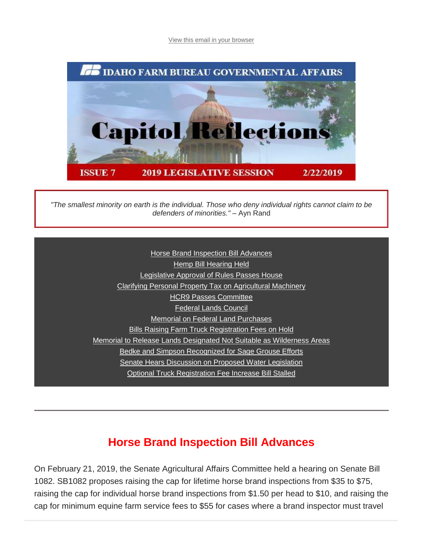[View this email in your browser](https://mailchi.mp/idahofb.org/capitol-reflections-issue-7?e=a4ab29d1bd)



*"The smallest minority on earth is the individual. Those who deny individual rights cannot claim to be defenders of minorities."* – Ayn Rand

> **[Horse Brand Inspection Bill Advances](https://mailchi.mp/idahofb.org/capitol-reflections-issue-7?e=a4ab29d1bd#Horse%20B)** [Hemp Bill Hearing Held](https://mailchi.mp/idahofb.org/capitol-reflections-issue-7?e=a4ab29d1bd#Hemp) [Legislative Approval of Rules Passes House](https://mailchi.mp/idahofb.org/capitol-reflections-issue-7?e=a4ab29d1bd#Leg%20Appr) [Cl](https://mailchi.mp/idahofb.org/capitol-reflections-issue-7?e=a4ab29d1bd#S1041)[arifying Personal Property Tax on Agricultural Machinery](https://mailchi.mp/idahofb.org/capitol-reflections-issue-7?e=a4ab29d1bd#Clar%20Per) [H](https://mailchi.mp/idahofb.org/capitol-reflections-issue-7?e=a4ab29d1bd#Invasive)[CR9 Passes Committee](https://mailchi.mp/idahofb.org/capitol-reflections-issue-7?e=a4ab29d1bd#HCR9) [Federal Lands Council](https://mailchi.mp/idahofb.org/capitol-reflections-issue-7?e=a4ab29d1bd#F%20L%20Council) [Memorial on Federal Land Purchases](https://mailchi.mp/idahofb.org/capitol-reflections-issue-7?e=a4ab29d1bd#Mem%20on%20F%20Lands) [Bills Raising Farm Truck Registration Fees on Hold](https://mailchi.mp/idahofb.org/capitol-reflections-issue-7?e=a4ab29d1bd#Bills%20Rais) [M](https://mailchi.mp/idahofb.org/capitol-reflections-issue-7?e=a4ab29d1bd#Update%20H067)[emorial to Release Lands Designated Not Suitable as Wilderness Areas](https://mailchi.mp/idahofb.org/capitol-reflections-issue-7?e=a4ab29d1bd#Mem%20to%20R%20Lands) [B](https://mailchi.mp/idahofb.org/capitol-reflections-issue-7?e=a4ab29d1bd#Rules%20Review)[edke and Simpson Recognized for Sage Grouse Efforts](https://mailchi.mp/idahofb.org/capitol-reflections-issue-7?e=a4ab29d1bd#Bedke%20&%20Simps) [Senate Hears Discussion on Proposed Water Legislation](https://mailchi.mp/idahofb.org/capitol-reflections-issue-7?e=a4ab29d1bd#Senate%20Hears) [Optional Truck Registration Fee Increase](https://mailchi.mp/idahofb.org/capitol-reflections-issue-7?e=a4ab29d1bd#Opt%20Truck) Bill Stalled

### **Horse Brand Inspection Bill Advances**

On February 21, 2019, the Senate Agricultural Affairs Committee held a hearing on Senate Bill 1082. SB1082 proposes raising the cap for lifetime horse brand inspections from \$35 to \$75, raising the cap for individual horse brand inspections from \$1.50 per head to \$10, and raising the cap for minimum equine farm service fees to \$55 for cases where a brand inspector must travel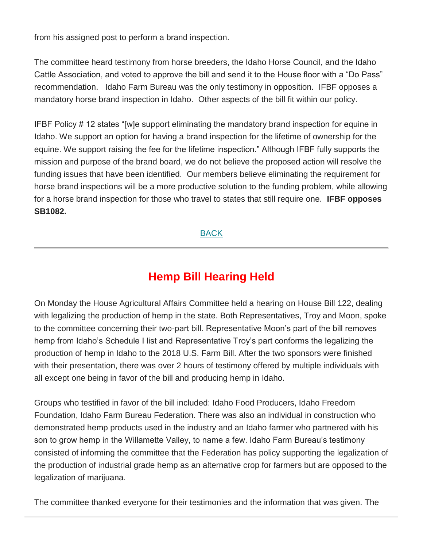from his assigned post to perform a brand inspection.

The committee heard testimony from horse breeders, the Idaho Horse Council, and the Idaho Cattle Association, and voted to approve the bill and send it to the House floor with a "Do Pass" recommendation. Idaho Farm Bureau was the only testimony in opposition. IFBF opposes a mandatory horse brand inspection in Idaho. Other aspects of the bill fit within our policy.

IFBF Policy # 12 states "[w]e support eliminating the mandatory brand inspection for equine in Idaho. We support an option for having a brand inspection for the lifetime of ownership for the equine. We support raising the fee for the lifetime inspection." Although IFBF fully supports the mission and purpose of the brand board, we do not believe the proposed action will resolve the funding issues that have been identified. Our members believe eliminating the requirement for horse brand inspections will be a more productive solution to the funding problem, while allowing for a horse brand inspection for those who travel to states that still require one. **IFBF opposes SB1082.**

[BACK](https://mailchi.mp/idahofb.org/capitol-reflections-issue-7?e=a4ab29d1bd#Navigation)

# **Hemp Bill Hearing Held**

On Monday the House Agricultural Affairs Committee held a hearing on House Bill 122, dealing with legalizing the production of hemp in the state. Both Representatives, Troy and Moon, spoke to the committee concerning their two-part bill. Representative Moon's part of the bill removes hemp from Idaho's Schedule I list and Representative Troy's part conforms the legalizing the production of hemp in Idaho to the 2018 U.S. Farm Bill. After the two sponsors were finished with their presentation, there was over 2 hours of testimony offered by multiple individuals with all except one being in favor of the bill and producing hemp in Idaho.

Groups who testified in favor of the bill included: Idaho Food Producers, Idaho Freedom Foundation, Idaho Farm Bureau Federation. There was also an individual in construction who demonstrated hemp products used in the industry and an Idaho farmer who partnered with his son to grow hemp in the Willamette Valley, to name a few. Idaho Farm Bureau's testimony consisted of informing the committee that the Federation has policy supporting the legalization of the production of industrial grade hemp as an alternative crop for farmers but are opposed to the legalization of marijuana.

The committee thanked everyone for their testimonies and the information that was given. The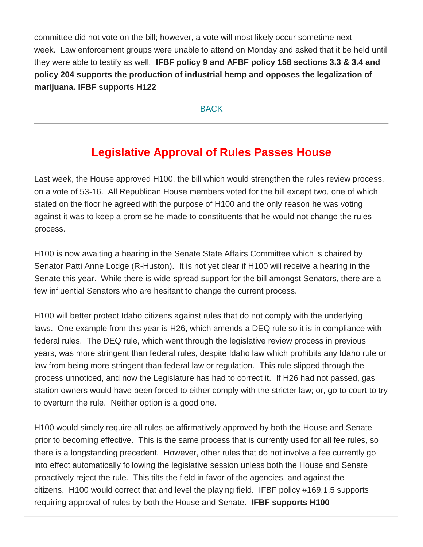committee did not vote on the bill; however, a vote will most likely occur sometime next week. Law enforcement groups were unable to attend on Monday and asked that it be held until they were able to testify as well. **IFBF policy 9 and AFBF policy 158 sections 3.3 & 3.4 and policy 204 supports the production of industrial hemp and opposes the legalization of marijuana. IFBF supports H122**

**[BACK](https://mailchi.mp/idahofb.org/capitol-reflections-issue-7?e=a4ab29d1bd#Navigation)** 

# **Legislative Approval of Rules Passes House**

Last week, the House approved H100, the bill which would strengthen the rules review process, on a vote of 53-16. All Republican House members voted for the bill except two, one of which stated on the floor he agreed with the purpose of H100 and the only reason he was voting against it was to keep a promise he made to constituents that he would not change the rules process.

H100 is now awaiting a hearing in the Senate State Affairs Committee which is chaired by Senator Patti Anne Lodge (R-Huston). It is not yet clear if H100 will receive a hearing in the Senate this year. While there is wide-spread support for the bill amongst Senators, there are a few influential Senators who are hesitant to change the current process.

H100 will better protect Idaho citizens against rules that do not comply with the underlying laws. One example from this year is H26, which amends a DEQ rule so it is in compliance with federal rules. The DEQ rule, which went through the legislative review process in previous years, was more stringent than federal rules, despite Idaho law which prohibits any Idaho rule or law from being more stringent than federal law or regulation. This rule slipped through the process unnoticed, and now the Legislature has had to correct it. If H26 had not passed, gas station owners would have been forced to either comply with the stricter law; or, go to court to try to overturn the rule. Neither option is a good one.

H100 would simply require all rules be affirmatively approved by both the House and Senate prior to becoming effective. This is the same process that is currently used for all fee rules, so there is a longstanding precedent. However, other rules that do not involve a fee currently go into effect automatically following the legislative session unless both the House and Senate proactively reject the rule. This tilts the field in favor of the agencies, and against the citizens. H100 would correct that and level the playing field. IFBF policy #169.1.5 supports requiring approval of rules by both the House and Senate. **IFBF supports H100**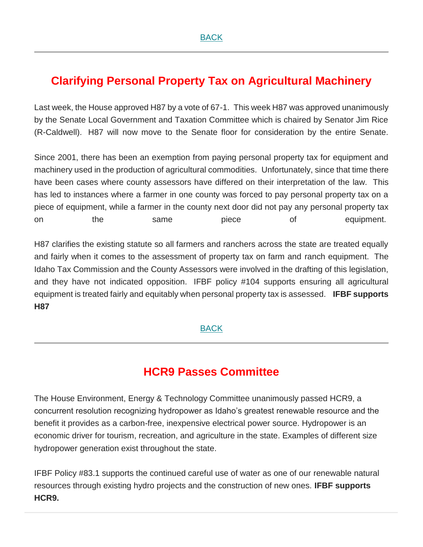# **Clarifying Personal Property Tax on Agricultural Machinery**

Last week, the House approved H87 by a vote of 67-1. This week H87 was approved unanimously by the Senate Local Government and Taxation Committee which is chaired by Senator Jim Rice (R-Caldwell). H87 will now move to the Senate floor for consideration by the entire Senate.

Since 2001, there has been an exemption from paying personal property tax for equipment and machinery used in the production of agricultural commodities. Unfortunately, since that time there have been cases where county assessors have differed on their interpretation of the law. This has led to instances where a farmer in one county was forced to pay personal property tax on a piece of equipment, while a farmer in the county next door did not pay any personal property tax on the same piece of equipment.

H87 clarifies the existing statute so all farmers and ranchers across the state are treated equally and fairly when it comes to the assessment of property tax on farm and ranch equipment. The Idaho Tax Commission and the County Assessors were involved in the drafting of this legislation, and they have not indicated opposition. IFBF policy #104 supports ensuring all agricultural equipment is treated fairly and equitably when personal property tax is assessed. **IFBF supports H87**

### [BACK](https://mailchi.mp/idahofb.org/capitol-reflections-issue-7?e=a4ab29d1bd#Navigation)

### **HCR9 Passes Committee**

The House Environment, Energy & Technology Committee unanimously passed HCR9, a concurrent resolution recognizing hydropower as Idaho's greatest renewable resource and the benefit it provides as a carbon-free, inexpensive electrical power source. Hydropower is an economic driver for tourism, recreation, and agriculture in the state. Examples of different size hydropower generation exist throughout the state.

IFBF Policy #83.1 supports the continued careful use of water as one of our renewable natural resources through existing hydro projects and the construction of new ones. **IFBF supports HCR9.**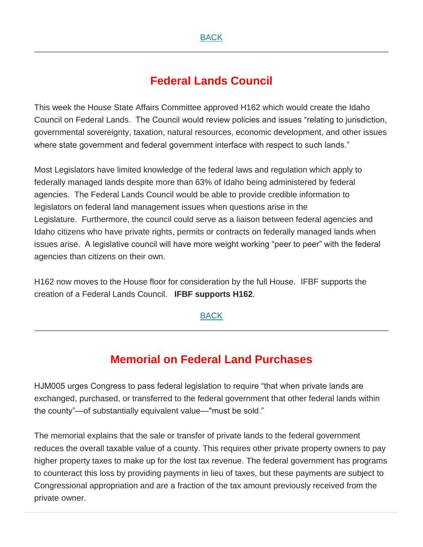### **Federal Lands Council**

This week the House State Affairs Committee approved H162 which would create the Idaho Council on Federal Lands. The Council would review policies and issues "relating to jurisdiction, governmental sovereignty, taxation, natural resources, economic development, and other issues where state government and federal government interface with respect to such lands."

Most Legislators have limited knowledge of the federal laws and regulation which apply to federally managed lands despite more than 63% of Idaho being administered by federal agencies. The Federal Lands Council would be able to provide credible information to legislators on federal land management issues when questions arise in the Legislature. Furthermore, the council could serve as a liaison between federal agencies and Idaho citizens who have private rights, permits or contracts on federally managed lands when issues arise. A legislative council will have more weight working "peer to peer" with the federal agencies than citizens on their own.

H162 now moves to the House floor for consideration by the full House. IFBF supports the creation of a Federal Lands Council. **IFBF supports H162**.

### [BACK](https://mailchi.mp/idahofb.org/capitol-reflections-issue-7?e=a4ab29d1bd#Navigation)

## **Memorial on Federal Land Purchases**

HJM005 urges Congress to pass federal legislation to require "that when private lands are exchanged, purchased, or transferred to the federal government that other federal lands within the county"—of substantially equivalent value—"must be sold."

The memorial explains that the sale or transfer of private lands to the federal government reduces the overall taxable value of a county. This requires other private property owners to pay higher property taxes to make up for the lost tax revenue. The federal government has programs to counteract this loss by providing payments in lieu of taxes, but these payments are subject to Congressional appropriation and are a fraction of the tax amount previously received from the private owner.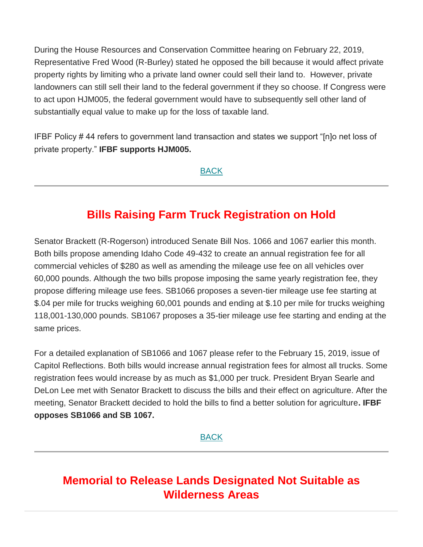During the House Resources and Conservation Committee hearing on February 22, 2019, Representative Fred Wood (R-Burley) stated he opposed the bill because it would affect private property rights by limiting who a private land owner could sell their land to. However, private landowners can still sell their land to the federal government if they so choose. If Congress were to act upon HJM005, the federal government would have to subsequently sell other land of substantially equal value to make up for the loss of taxable land.

IFBF Policy # 44 refers to government land transaction and states we support "[n]o net loss of private property." **IFBF supports HJM005.**

[BACK](https://mailchi.mp/idahofb.org/capitol-reflections-issue-7?e=a4ab29d1bd#Navigation)

# **Bills Raising Farm Truck Registration on Hold**

Senator Brackett (R-Rogerson) introduced Senate Bill Nos. 1066 and 1067 earlier this month. Both bills propose amending Idaho Code 49-432 to create an annual registration fee for all commercial vehicles of \$280 as well as amending the mileage use fee on all vehicles over 60,000 pounds. Although the two bills propose imposing the same yearly registration fee, they propose differing mileage use fees. SB1066 proposes a seven-tier mileage use fee starting at \$.04 per mile for trucks weighing 60,001 pounds and ending at \$.10 per mile for trucks weighing 118,001-130,000 pounds. SB1067 proposes a 35-tier mileage use fee starting and ending at the same prices.

For a detailed explanation of SB1066 and 1067 please refer to the February 15, 2019, issue of Capitol Reflections. Both bills would increase annual registration fees for almost all trucks. Some registration fees would increase by as much as \$1,000 per truck. President Bryan Searle and DeLon Lee met with Senator Brackett to discuss the bills and their effect on agriculture. After the meeting, Senator Brackett decided to hold the bills to find a better solution for agriculture**. IFBF opposes SB1066 and SB 1067.**

[BACK](https://mailchi.mp/idahofb.org/capitol-reflections-issue-7?e=a4ab29d1bd#Navigation)

# **Memorial to Release Lands Designated Not Suitable as Wilderness Areas**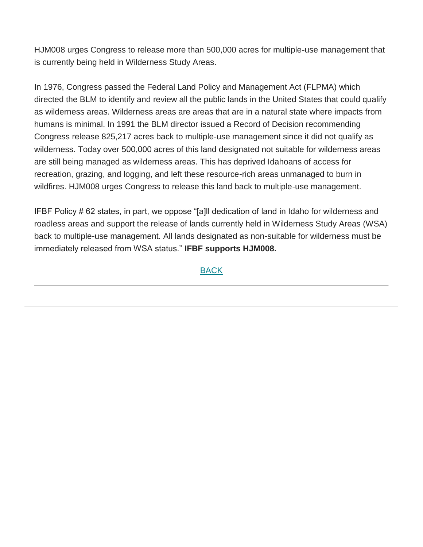HJM008 urges Congress to release more than 500,000 acres for multiple-use management that is currently being held in Wilderness Study Areas.

In 1976, Congress passed the Federal Land Policy and Management Act (FLPMA) which directed the BLM to identify and review all the public lands in the United States that could qualify as wilderness areas. Wilderness areas are areas that are in a natural state where impacts from humans is minimal. In 1991 the BLM director issued a Record of Decision recommending Congress release 825,217 acres back to multiple-use management since it did not qualify as wilderness. Today over 500,000 acres of this land designated not suitable for wilderness areas are still being managed as wilderness areas. This has deprived Idahoans of access for recreation, grazing, and logging, and left these resource-rich areas unmanaged to burn in wildfires. HJM008 urges Congress to release this land back to multiple-use management.

IFBF Policy # 62 states, in part, we oppose "[a]ll dedication of land in Idaho for wilderness and roadless areas and support the release of lands currently held in Wilderness Study Areas (WSA) back to multiple-use management. All lands designated as non-suitable for wilderness must be immediately released from WSA status." **IFBF supports HJM008.**

#### [BACK](https://mailchi.mp/idahofb.org/capitol-reflections-issue-7?e=a4ab29d1bd#Navigation)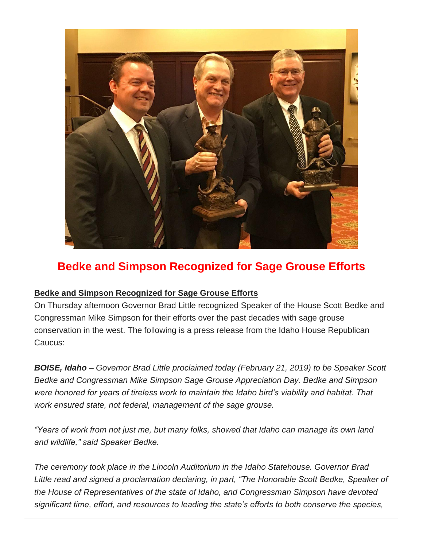

# **Bedke and Simpson Recognized for Sage Grouse Efforts**

### **Bedke and Simpson Recognized for Sage Grouse Efforts**

On Thursday afternoon Governor Brad Little recognized Speaker of the House Scott Bedke and Congressman Mike Simpson for their efforts over the past decades with sage grouse conservation in the west. The following is a press release from the Idaho House Republican Caucus:

*BOISE, Idaho – Governor Brad Little proclaimed today (February 21, 2019) to be Speaker Scott Bedke and Congressman Mike Simpson Sage Grouse Appreciation Day. Bedke and Simpson were honored for years of tireless work to maintain the Idaho bird's viability and habitat. That work ensured state, not federal, management of the sage grouse.*

*"Years of work from not just me, but many folks, showed that Idaho can manage its own land and wildlife," said Speaker Bedke.*

*The ceremony took place in the Lincoln Auditorium in the Idaho Statehouse. Governor Brad Little read and signed a proclamation declaring, in part, "The Honorable Scott Bedke, Speaker of the House of Representatives of the state of Idaho, and Congressman Simpson have devoted significant time, effort, and resources to leading the state's efforts to both conserve the species,*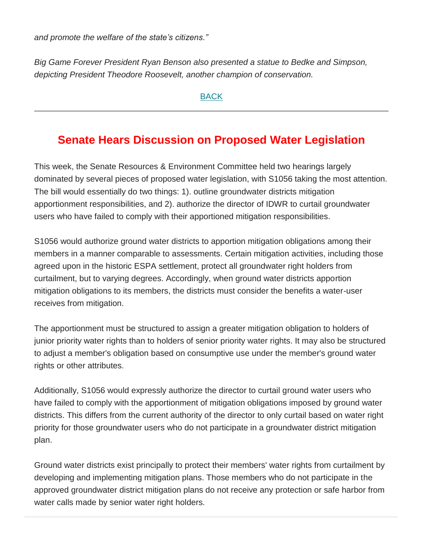*and promote the welfare of the state's citizens."*

*Big Game Forever President Ryan Benson also presented a statue to Bedke and Simpson, depicting President Theodore Roosevelt, another champion of conservation.*

[BACK](https://mailchi.mp/idahofb.org/capitol-reflections-issue-7?e=a4ab29d1bd#Navigation)

## **Senate Hears Discussion on Proposed Water Legislation**

This week, the Senate Resources & Environment Committee held two hearings largely dominated by several pieces of proposed water legislation, with S1056 taking the most attention. The bill would essentially do two things: 1). outline groundwater districts mitigation apportionment responsibilities, and 2). authorize the director of IDWR to curtail groundwater users who have failed to comply with their apportioned mitigation responsibilities.

S1056 would authorize ground water districts to apportion mitigation obligations among their members in a manner comparable to assessments. Certain mitigation activities, including those agreed upon in the historic ESPA settlement, protect all groundwater right holders from curtailment, but to varying degrees. Accordingly, when ground water districts apportion mitigation obligations to its members, the districts must consider the benefits a water-user receives from mitigation.

The apportionment must be structured to assign a greater mitigation obligation to holders of junior priority water rights than to holders of senior priority water rights. It may also be structured to adjust a member's obligation based on consumptive use under the member's ground water rights or other attributes.

Additionally, S1056 would expressly authorize the director to curtail ground water users who have failed to comply with the apportionment of mitigation obligations imposed by ground water districts. This differs from the current authority of the director to only curtail based on water right priority for those groundwater users who do not participate in a groundwater district mitigation plan.

Ground water districts exist principally to protect their members' water rights from curtailment by developing and implementing mitigation plans. Those members who do not participate in the approved groundwater district mitigation plans do not receive any protection or safe harbor from water calls made by senior water right holders.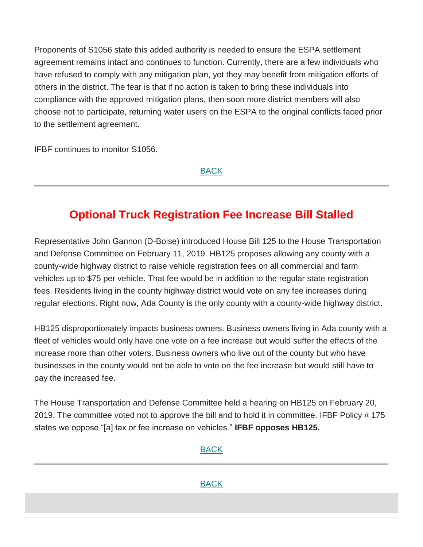Proponents of S1056 state this added authority is needed to ensure the ESPA settlement agreement remains intact and continues to function. Currently, there are a few individuals who have refused to comply with any mitigation plan, yet they may benefit from mitigation efforts of others in the district. The fear is that if no action is taken to bring these individuals into compliance with the approved mitigation plans, then soon more district members will also choose not to participate, returning water users on the ESPA to the original conflicts faced prior to the settlement agreement.

IFBF continues to monitor S1056.

[BACK](https://mailchi.mp/idahofb.org/capitol-reflections-issue-7?e=a4ab29d1bd#Navigation)

# **Optional Truck Registration Fee Increase Bill Stalled**

Representative John Gannon (D-Boise) introduced House Bill 125 to the House Transportation and Defense Committee on February 11, 2019. HB125 proposes allowing any county with a county-wide highway district to raise vehicle registration fees on all commercial and farm vehicles up to \$75 per vehicle. That fee would be in addition to the regular state registration fees. Residents living in the county highway district would vote on any fee increases during regular elections. Right now, Ada County is the only county with a county-wide highway district.

HB125 disproportionately impacts business owners. Business owners living in Ada county with a fleet of vehicles would only have one vote on a fee increase but would suffer the effects of the increase more than other voters. Business owners who live out of the county but who have businesses in the county would not be able to vote on the fee increase but would still have to pay the increased fee.

The House Transportation and Defense Committee held a hearing on HB125 on February 20, 2019. The committee voted not to approve the bill and to hold it in committee. IFBF Policy # 175 states we oppose "[a] tax or fee increase on vehicles." **IFBF opposes HB125.**

#### [BACK](https://mailchi.mp/idahofb.org/capitol-reflections-issue-7?e=a4ab29d1bd#Navigation)

[BACK](https://mailchi.mp/idahofb.org/capitol-reflections-issue-7?e=a4ab29d1bd#Navigation)